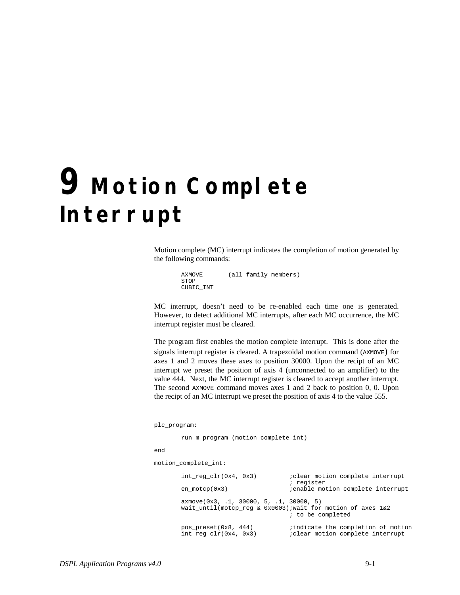## **9 Motion Complete Interrupt**

Motion complete (MC) interrupt indicates the completion of motion generated by the following commands:

```
AXMOVE (all family members)
STOP
CUBIC_INT
```
MC interrupt, doesn't need to be re-enabled each time one is generated. However, to detect additional MC interrupts, after each MC occurrence, the MC interrupt register must be cleared.

The program first enables the motion complete interrupt. This is done after the signals interrupt register is cleared. A trapezoidal motion command (AXMOVE) for axes 1 and 2 moves these axes to position 30000. Upon the recipt of an MC interrupt we preset the position of axis 4 (unconnected to an amplifier) to the value 444. Next, the MC interrupt register is cleared to accept another interrupt. The second AXMOVE command moves axes 1 and 2 back to position 0, 0. Upon the recipt of an MC interrupt we preset the position of axis 4 to the value 555.

plc\_program:

run\_m\_program (motion\_complete\_int)

```
end
```
motion\_complete\_int:

| int reg $clr(0x4, 0x3)$<br>en $motor(0x3)$                                                                    | <i>i</i> clear motion complete interrupt<br>; register<br><i>i</i> enable motion complete interrupt |
|---------------------------------------------------------------------------------------------------------------|-----------------------------------------------------------------------------------------------------|
| $axmove(0x3, .1, 30000, 5, .1, 30000, 5)$<br>wait_until(motcp_req & $0x0003$ ); wait for motion of axes $1&2$ | ; to be completed                                                                                   |
| pos preset $(0x8, 444)$<br>int req $clr(0x4, 0x3)$                                                            | indicate the completion of motion<br><i>i</i> clear motion complete interrupt                       |